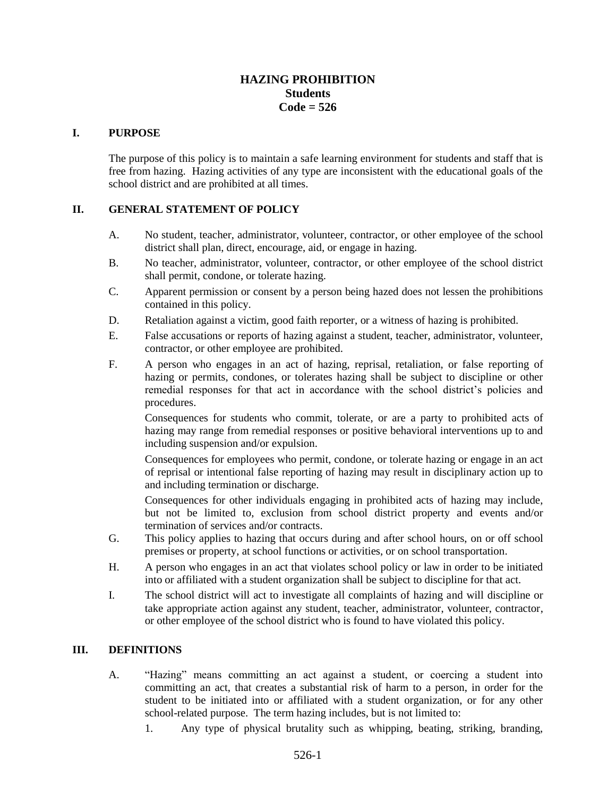# **HAZING PROHIBITION Students Code = 526**

#### **I. PURPOSE**

The purpose of this policy is to maintain a safe learning environment for students and staff that is free from hazing. Hazing activities of any type are inconsistent with the educational goals of the school district and are prohibited at all times.

#### **II. GENERAL STATEMENT OF POLICY**

- A. No student, teacher, administrator, volunteer, contractor, or other employee of the school district shall plan, direct, encourage, aid, or engage in hazing.
- B. No teacher, administrator, volunteer, contractor, or other employee of the school district shall permit, condone, or tolerate hazing.
- C. Apparent permission or consent by a person being hazed does not lessen the prohibitions contained in this policy.
- D. Retaliation against a victim, good faith reporter, or a witness of hazing is prohibited.
- E. False accusations or reports of hazing against a student, teacher, administrator, volunteer, contractor, or other employee are prohibited.
- F. A person who engages in an act of hazing, reprisal, retaliation, or false reporting of hazing or permits, condones, or tolerates hazing shall be subject to discipline or other remedial responses for that act in accordance with the school district's policies and procedures.

Consequences for students who commit, tolerate, or are a party to prohibited acts of hazing may range from remedial responses or positive behavioral interventions up to and including suspension and/or expulsion.

Consequences for employees who permit, condone, or tolerate hazing or engage in an act of reprisal or intentional false reporting of hazing may result in disciplinary action up to and including termination or discharge.

Consequences for other individuals engaging in prohibited acts of hazing may include, but not be limited to, exclusion from school district property and events and/or termination of services and/or contracts.

- G. This policy applies to hazing that occurs during and after school hours, on or off school premises or property, at school functions or activities, or on school transportation.
- H. A person who engages in an act that violates school policy or law in order to be initiated into or affiliated with a student organization shall be subject to discipline for that act.
- I. The school district will act to investigate all complaints of hazing and will discipline or take appropriate action against any student, teacher, administrator, volunteer, contractor, or other employee of the school district who is found to have violated this policy.

#### **III. DEFINITIONS**

- A. "Hazing" means committing an act against a student, or coercing a student into committing an act, that creates a substantial risk of harm to a person, in order for the student to be initiated into or affiliated with a student organization, or for any other school-related purpose. The term hazing includes, but is not limited to:
	- 1. Any type of physical brutality such as whipping, beating, striking, branding,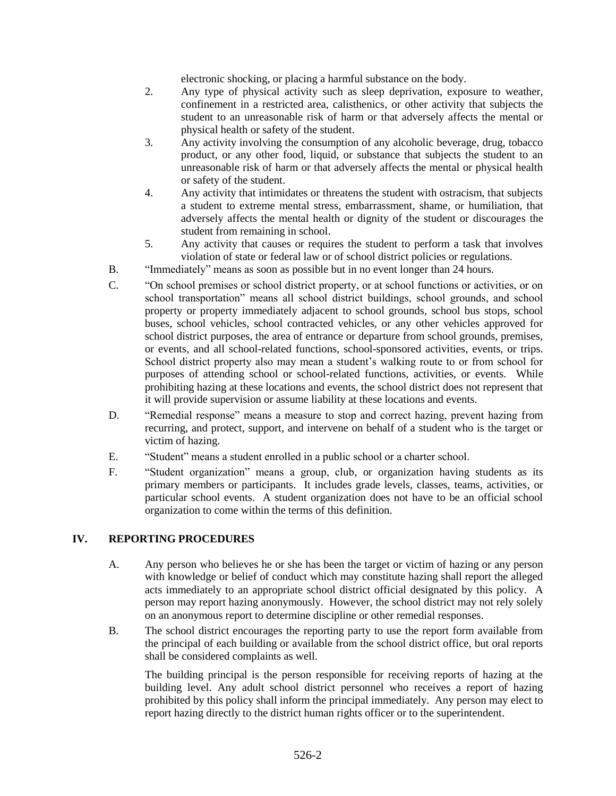electronic shocking, or placing a harmful substance on the body.

- 2. Any type of physical activity such as sleep deprivation, exposure to weather, confinement in a restricted area, calisthenics, or other activity that subjects the student to an unreasonable risk of harm or that adversely affects the mental or physical health or safety of the student.
- 3. Any activity involving the consumption of any alcoholic beverage, drug, tobacco product, or any other food, liquid, or substance that subjects the student to an unreasonable risk of harm or that adversely affects the mental or physical health or safety of the student.
- 4. Any activity that intimidates or threatens the student with ostracism, that subjects a student to extreme mental stress, embarrassment, shame, or humiliation, that adversely affects the mental health or dignity of the student or discourages the student from remaining in school.
- 5. Any activity that causes or requires the student to perform a task that involves violation of state or federal law or of school district policies or regulations.
- B. "Immediately" means as soon as possible but in no event longer than 24 hours.
- C. "On school premises or school district property, or at school functions or activities, or on school transportation" means all school district buildings, school grounds, and school property or property immediately adjacent to school grounds, school bus stops, school buses, school vehicles, school contracted vehicles, or any other vehicles approved for school district purposes, the area of entrance or departure from school grounds, premises, or events, and all school-related functions, school-sponsored activities, events, or trips. School district property also may mean a student's walking route to or from school for purposes of attending school or school-related functions, activities, or events. While prohibiting hazing at these locations and events, the school district does not represent that it will provide supervision or assume liability at these locations and events.
- D. "Remedial response" means a measure to stop and correct hazing, prevent hazing from recurring, and protect, support, and intervene on behalf of a student who is the target or victim of hazing.
- E. "Student" means a student enrolled in a public school or a charter school.
- F. "Student organization" means a group, club, or organization having students as its primary members or participants. It includes grade levels, classes, teams, activities, or particular school events. A student organization does not have to be an official school organization to come within the terms of this definition.

## **IV. REPORTING PROCEDURES**

- A. Any person who believes he or she has been the target or victim of hazing or any person with knowledge or belief of conduct which may constitute hazing shall report the alleged acts immediately to an appropriate school district official designated by this policy. A person may report hazing anonymously. However, the school district may not rely solely on an anonymous report to determine discipline or other remedial responses.
- B. The school district encourages the reporting party to use the report form available from the principal of each building or available from the school district office, but oral reports shall be considered complaints as well.

The building principal is the person responsible for receiving reports of hazing at the building level. Any adult school district personnel who receives a report of hazing prohibited by this policy shall inform the principal immediately. Any person may elect to report hazing directly to the district human rights officer or to the superintendent.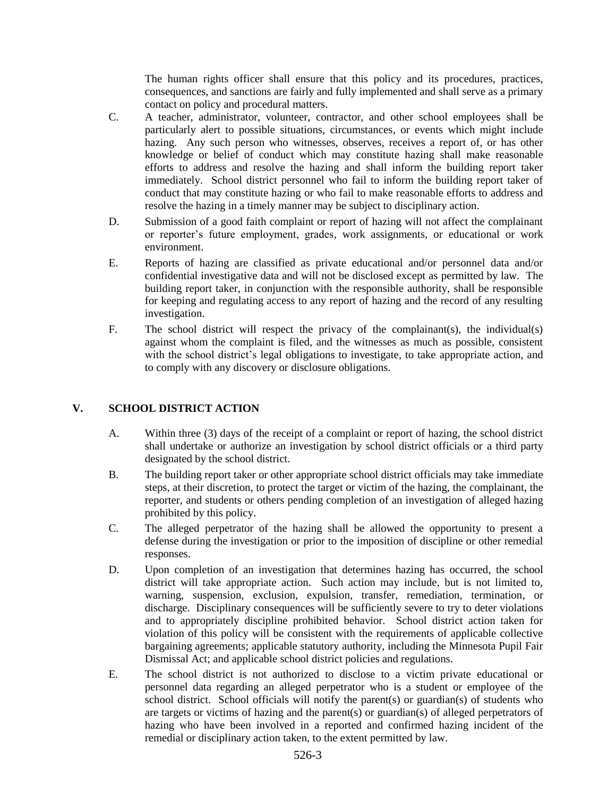The human rights officer shall ensure that this policy and its procedures, practices, consequences, and sanctions are fairly and fully implemented and shall serve as a primary contact on policy and procedural matters.

- C. A teacher, administrator, volunteer, contractor, and other school employees shall be particularly alert to possible situations, circumstances, or events which might include hazing. Any such person who witnesses, observes, receives a report of, or has other knowledge or belief of conduct which may constitute hazing shall make reasonable efforts to address and resolve the hazing and shall inform the building report taker immediately. School district personnel who fail to inform the building report taker of conduct that may constitute hazing or who fail to make reasonable efforts to address and resolve the hazing in a timely manner may be subject to disciplinary action.
- D. Submission of a good faith complaint or report of hazing will not affect the complainant or reporter's future employment, grades, work assignments, or educational or work environment.
- E. Reports of hazing are classified as private educational and/or personnel data and/or confidential investigative data and will not be disclosed except as permitted by law. The building report taker, in conjunction with the responsible authority, shall be responsible for keeping and regulating access to any report of hazing and the record of any resulting investigation.
- F. The school district will respect the privacy of the complainant(s), the individual(s) against whom the complaint is filed, and the witnesses as much as possible, consistent with the school district's legal obligations to investigate, to take appropriate action, and to comply with any discovery or disclosure obligations.

## **V. SCHOOL DISTRICT ACTION**

- A. Within three (3) days of the receipt of a complaint or report of hazing, the school district shall undertake or authorize an investigation by school district officials or a third party designated by the school district.
- B. The building report taker or other appropriate school district officials may take immediate steps, at their discretion, to protect the target or victim of the hazing, the complainant, the reporter, and students or others pending completion of an investigation of alleged hazing prohibited by this policy.
- C. The alleged perpetrator of the hazing shall be allowed the opportunity to present a defense during the investigation or prior to the imposition of discipline or other remedial responses.
- D. Upon completion of an investigation that determines hazing has occurred, the school district will take appropriate action. Such action may include, but is not limited to, warning, suspension, exclusion, expulsion, transfer, remediation, termination, or discharge. Disciplinary consequences will be sufficiently severe to try to deter violations and to appropriately discipline prohibited behavior. School district action taken for violation of this policy will be consistent with the requirements of applicable collective bargaining agreements; applicable statutory authority, including the Minnesota Pupil Fair Dismissal Act; and applicable school district policies and regulations.
- E. The school district is not authorized to disclose to a victim private educational or personnel data regarding an alleged perpetrator who is a student or employee of the school district. School officials will notify the parent(s) or guardian(s) of students who are targets or victims of hazing and the parent(s) or guardian(s) of alleged perpetrators of hazing who have been involved in a reported and confirmed hazing incident of the remedial or disciplinary action taken, to the extent permitted by law.